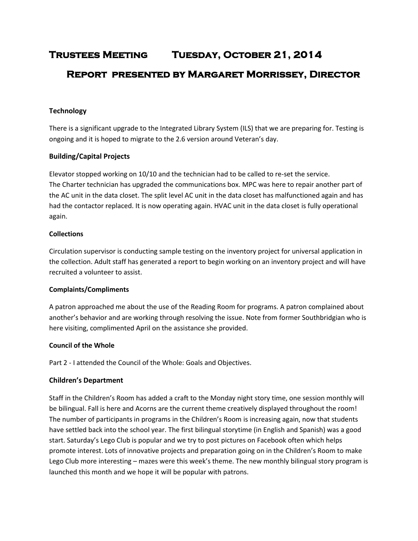# **Trustees Meeting Tuesday, October 21, 2014 Report presented by Margaret Morrissey, Director**

# **Technology**

There is a significant upgrade to the Integrated Library System (ILS) that we are preparing for. Testing is ongoing and it is hoped to migrate to the 2.6 version around Veteran's day.

# **Building/Capital Projects**

Elevator stopped working on 10/10 and the technician had to be called to re-set the service. The Charter technician has upgraded the communications box. MPC was here to repair another part of the AC unit in the data closet. The split level AC unit in the data closet has malfunctioned again and has had the contactor replaced. It is now operating again. HVAC unit in the data closet is fully operational again.

#### **Collections**

Circulation supervisor is conducting sample testing on the inventory project for universal application in the collection. Adult staff has generated a report to begin working on an inventory project and will have recruited a volunteer to assist.

# **Complaints/Compliments**

A patron approached me about the use of the Reading Room for programs. A patron complained about another's behavior and are working through resolving the issue. Note from former Southbridgian who is here visiting, complimented April on the assistance she provided.

# **Council of the Whole**

Part 2 - I attended the Council of the Whole: Goals and Objectives.

# **Children's Department**

Staff in the Children's Room has added a craft to the Monday night story time, one session monthly will be bilingual. Fall is here and Acorns are the current theme creatively displayed throughout the room! The number of participants in programs in the Children's Room is increasing again, now that students have settled back into the school year. The first bilingual storytime (in English and Spanish) was a good start. Saturday's Lego Club is popular and we try to post pictures on Facebook often which helps promote interest. Lots of innovative projects and preparation going on in the Children's Room to make Lego Club more interesting – mazes were this week's theme. The new monthly bilingual story program is launched this month and we hope it will be popular with patrons.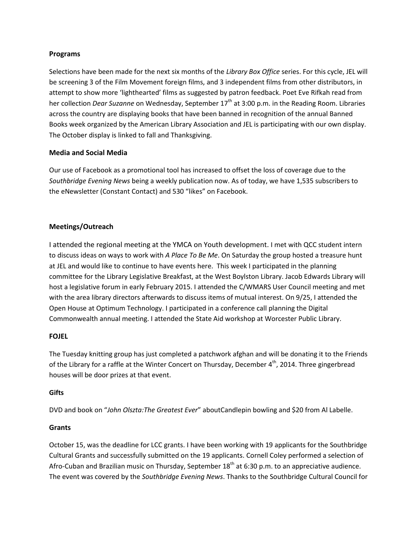#### **Programs**

Selections have been made for the next six months of the *Library Box Office* series. For this cycle, JEL will be screening 3 of the Film Movement foreign films, and 3 independent films from other distributors, in attempt to show more 'lighthearted' films as suggested by patron feedback. Poet Eve Rifkah read from her collection *Dear Suzanne* on Wednesday, September 17<sup>th</sup> at 3:00 p.m. in the Reading Room. Libraries across the country are displaying books that have been banned in recognition of the annual Banned Books week organized by the American Library Association and JEL is participating with our own display. The October display is linked to fall and Thanksgiving.

# **Media and Social Media**

Our use of Facebook as a promotional tool has increased to offset the loss of coverage due to the *Southbridge Evening News* being a weekly publication now. As of today, we have 1,535 subscribers to the eNewsletter (Constant Contact) and 530 "likes" on Facebook.

# **Meetings/Outreach**

I attended the regional meeting at the YMCA on Youth development. I met with QCC student intern to discuss ideas on ways to work with *A Place To Be Me*. On Saturday the group hosted a treasure hunt at JEL and would like to continue to have events here. This week I participated in the planning committee for the Library Legislative Breakfast, at the West Boylston Library. Jacob Edwards Library will host a legislative forum in early February 2015. I attended the C/WMARS User Council meeting and met with the area library directors afterwards to discuss items of mutual interest. On 9/25, I attended the Open House at Optimum Technology. I participated in a conference call planning the Digital Commonwealth annual meeting. I attended the State Aid workshop at Worcester Public Library.

#### **FOJEL**

The Tuesday knitting group has just completed a patchwork afghan and will be donating it to the Friends of the Library for a raffle at the Winter Concert on Thursday, December  $4<sup>th</sup>$ , 2014. Three gingerbread houses will be door prizes at that event.

#### **Gifts**

DVD and book on "*John Olszta:The Greatest Ever*" aboutCandlepin bowling and \$20 from Al Labelle.

#### **Grants**

October 15, was the deadline for LCC grants. I have been working with 19 applicants for the Southbridge Cultural Grants and successfully submitted on the 19 applicants. Cornell Coley performed a selection of Afro-Cuban and Brazilian music on Thursday, September  $18<sup>th</sup>$  at 6:30 p.m. to an appreciative audience. The event was covered by the *Southbridge Evening News*. Thanks to the Southbridge Cultural Council for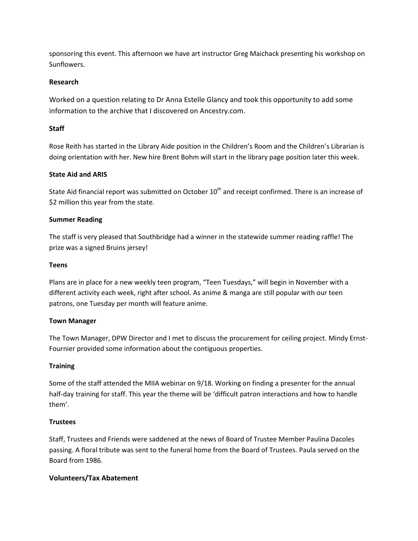sponsoring this event. This afternoon we have art instructor Greg Maichack presenting his workshop on Sunflowers.

# **Research**

Worked on a question relating to Dr Anna Estelle Glancy and took this opportunity to add some information to the archive that I discovered on Ancestry.com.

# **Staff**

Rose Reith has started in the Library Aide position in the Children's Room and the Children's Librarian is doing orientation with her. New hire Brent Bohm will start in the library page position later this week.

# **State Aid and ARIS**

State Aid financial report was submitted on October 10<sup>th</sup> and receipt confirmed. There is an increase of \$2 million this year from the state.

#### **Summer Reading**

The staff is very pleased that Southbridge had a winner in the statewide summer reading raffle! The prize was a signed Bruins jersey!

#### **Teens**

Plans are in place for a new weekly teen program, "Teen Tuesdays," will begin in November with a different activity each week, right after school. As anime & manga are still popular with our teen patrons, one Tuesday per month will feature anime.

#### **Town Manager**

The Town Manager, DPW Director and I met to discuss the procurement for ceiling project. Mindy Ernst-Fournier provided some information about the contiguous properties.

#### **Training**

Some of the staff attended the MIIA webinar on 9/18. Working on finding a presenter for the annual half-day training for staff. This year the theme will be 'difficult patron interactions and how to handle them'.

#### **Trustees**

Staff, Trustees and Friends were saddened at the news of Board of Trustee Member Paulina Dacoles passing. A floral tribute was sent to the funeral home from the Board of Trustees. Paula served on the Board from 1986.

#### **Volunteers/Tax Abatement**